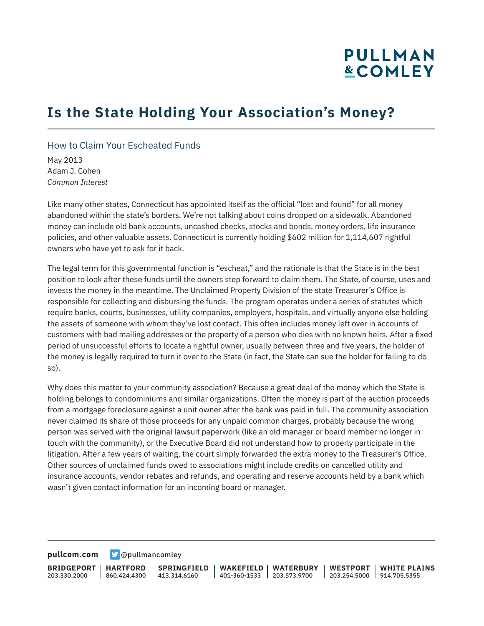# **PULLMAN &COMLEY**

## **Is the State Holding Your Association's Money?**

#### How to Claim Your Escheated Funds

May 2013 Adam J. Cohen *Common Interest*

Like many other states, Connecticut has appointed itself as the official "lost and found" for all money abandoned within the state's borders. We're not talking about coins dropped on a sidewalk. Abandoned money can include old bank accounts, uncashed checks, stocks and bonds, money orders, life insurance policies, and other valuable assets. Connecticut is currently holding \$602 million for 1,114,607 rightful owners who have yet to ask for it back.

The legal term for this governmental function is "escheat," and the rationale is that the State is in the best position to look after these funds until the owners step forward to claim them. The State, of course, uses and invests the money in the meantime. The Unclaimed Property Division of the state Treasurer's Office is responsible for collecting and disbursing the funds. The program operates under a series of statutes which require banks, courts, businesses, utility companies, employers, hospitals, and virtually anyone else holding the assets of someone with whom they've lost contact. This often includes money left over in accounts of customers with bad mailing addresses or the property of a person who dies with no known heirs. After a fixed period of unsuccessful efforts to locate a rightful owner, usually between three and five years, the holder of the money is legally required to turn it over to the State (in fact, the State can sue the holder for failing to do so).

Why does this matter to your community association? Because a great deal of the money which the State is holding belongs to condominiums and similar organizations. Often the money is part of the auction proceeds from a mortgage foreclosure against a unit owner after the bank was paid in full. The community association never claimed its share of those proceeds for any unpaid common charges, probably because the wrong person was served with the original lawsuit paperwork (like an old manager or board member no longer in touch with the community), or the Executive Board did not understand how to properly participate in the litigation. After a few years of waiting, the court simply forwarded the extra money to the Treasurer's Office. Other sources of unclaimed funds owed to associations might include credits on cancelled utility and insurance accounts, vendor rebates and refunds, and operating and reserve accounts held by a bank which wasn't given contact information for an incoming board or manager.

**[pullcom.com](https://www.pullcom.com) g** [@pullmancomley](https://twitter.com/PullmanComley)

**BRIDGEPORT** 203.330.2000

**HARTFORD**

860.424.4300 413.314.6160 **SPRINGFIELD**

**WAKEFIELD WATERBURY** 401-360-1533 203.573.9700

**WESTPORT WHITE PLAINS** 203.254.5000 914.705.5355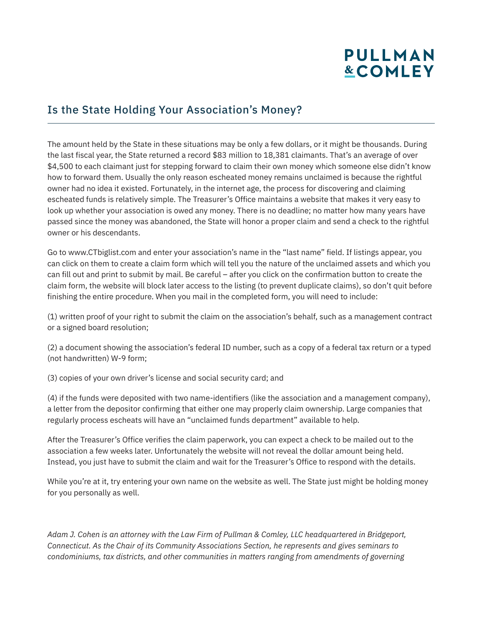# **PULLMAN &COMLEY**

### Is the State Holding Your Association's Money?

The amount held by the State in these situations may be only a few dollars, or it might be thousands. During the last fiscal year, the State returned a record \$83 million to 18,381 claimants. That's an average of over \$4,500 to each claimant just for stepping forward to claim their own money which someone else didn't know how to forward them. Usually the only reason escheated money remains unclaimed is because the rightful owner had no idea it existed. Fortunately, in the internet age, the process for discovering and claiming escheated funds is relatively simple. The Treasurer's Office maintains a website that makes it very easy to look up whether your association is owed any money. There is no deadline; no matter how many years have passed since the money was abandoned, the State will honor a proper claim and send a check to the rightful owner or his descendants.

Go to www.CTbiglist.com and enter your association's name in the "last name" field. If listings appear, you can click on them to create a claim form which will tell you the nature of the unclaimed assets and which you can fill out and print to submit by mail. Be careful – after you click on the confirmation button to create the claim form, the website will block later access to the listing (to prevent duplicate claims), so don't quit before finishing the entire procedure. When you mail in the completed form, you will need to include:

(1) written proof of your right to submit the claim on the association's behalf, such as a management contract or a signed board resolution;

(2) a document showing the association's federal ID number, such as a copy of a federal tax return or a typed (not handwritten) W-9 form;

(3) copies of your own driver's license and social security card; and

(4) if the funds were deposited with two name-identifiers (like the association and a management company), a letter from the depositor confirming that either one may properly claim ownership. Large companies that regularly process escheats will have an "unclaimed funds department" available to help.

After the Treasurer's Office verifies the claim paperwork, you can expect a check to be mailed out to the association a few weeks later. Unfortunately the website will not reveal the dollar amount being held. Instead, you just have to submit the claim and wait for the Treasurer's Office to respond with the details.

While you're at it, try entering your own name on the website as well. The State just might be holding money for you personally as well.

*Adam J. Cohen is an attorney with the Law Firm of Pullman & Comley, LLC headquartered in Bridgeport, Connecticut. As the Chair of its Community Associations Section, he represents and gives seminars to condominiums, tax districts, and other communities in matters ranging from amendments of governing*